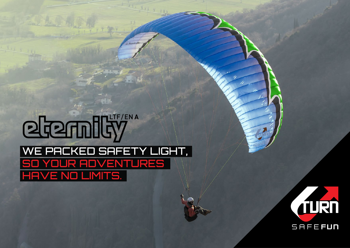## WE PACKED SAFETY LIGHT, so your adventures **HAVE NO LIMITS.** eltermilly

u turn de

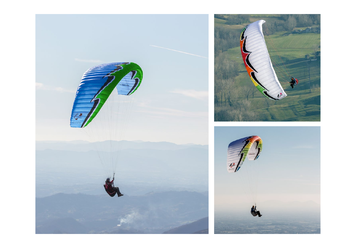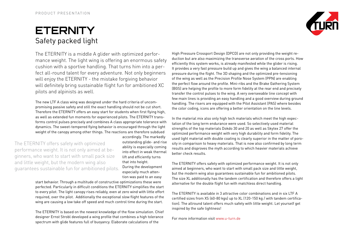## **Eternity** Safety packed light



The ETERNITY is a middle A glider with optimized performance weight. The light wing is offering an enormous safety cushion with a sportive handling. That turns him into a perfect all-round talent for every adventure. Not only beginners will enjoy the ETERNITY - the mistake forgiving behavior will definitely bring sustainable flight fun for ambitioned XC pilots and alpinists as well.

The new LTF A class wing was designed under the hard criteria of uncompromising passive safety and still the exact handling should not be cut short. Therefore the ETERNITY offers an easy start for students when first flying high, as well as extended fun moments for experienced pilots. The ETERNITY transforms control pulses precisely and combines A class appropriate tolerance with dynamics. The sweet-tempered flying behavior is encouraged through the light weight of the canopy among other things. The reactions are therefore subdued

The ETERNITY offers safety with optimized performance weight. It is not only aimed at beginners, who want to start with small pack size and little weight, but the modern wing also guarantees sustainable fun for ambitioned pilots.

accordingly. The markedly outstanding glide- and rise ability is especially coming into effect in weak thermal lift and efficiently turns that into height. During the development especially much attention was paid to an easy

start behavior. Through a multitude of constructive optimizations these were perfected. Particularly in difficult conditions the ETERNITY simplifies the start to every pilot. The light canopy rises reliably, even at zero wind with little effort required, over the pilot. Additionally the exceptional slow flight features of the wing are causing a low take off speed and much control time during the start.

The ETERNITY is based on the newest knowledge of the flow simulation. Chief designer Ernst Strobl developed a wing profile that combines a high tolerance spectrum with glide features full of buoyancy. Elaborate calculations of the

High Pressure Crossport Design (DPCD) are not only providing the weight reduction but are also maximizing the transverse aeration of the cross ports. How efficiently this system works, is already manifested while the glider is rising. It provides a very fast pressure build up and gives the wing a balanced internal pressure during the flight. The 3D shaping and the optimized pre-tensioning of the wing as well as the Precision Profile Nose System (PPN) are enabling the perfect flow around the profile. Mini-ribs and the Brake Gathering System (BGS) are helping the profile to more form fidelity at the rear end and precisely transfer the control pulses to the wing. A very overseeable line concept with few main lines is providing an easy handling and a good overview during ground handling. The risers are equipped with the Pilot Assistant (PAS) where besides the color coding, icons are offering a better orientation on the line levels.

In the material mix also only high tech materials which meet the high expectation of the long term endurance were used. So selectively used material strengths of the top materials Dokdo 30 and 20 as well as Skytex 27 offer the optimized performance weight with very high durability and form fidelity. The used light material with double coating is clearly superior in the matter of porosity in comparison to heavy materials. That is now also confirmed by long term results and disproves the myth according to which heavier materials achieve better check results.

The ETERNITY offers safety with optimized performance weight. It is not only aimed at beginners, who want to start with small pack size and little weight, but the modern wing also guarantees sustainable fun for ambitioned pilots. The size XL additionally has the tandem certification and therefore offers a light alternative for the double flight fun with matchless direct handling.

The ETERNITY is available in 3 attractive color combinations and in six LTF A certified sizes from XS (60-80 kgs) up to XL (120-150 kg / with tandem certification). The allround talent offers much safety with little weight. Let yourself get inspired by the safe lightness!

For more information visit www.u-turn.de